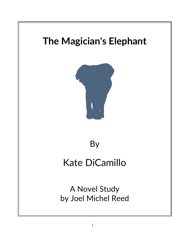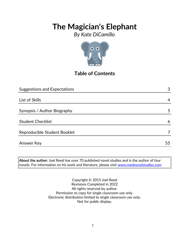*By Kate DiCamillo*



## **Table of Contents**

| <b>Suggestions and Expectations</b> | 3  |
|-------------------------------------|----|
|                                     |    |
| List of Skills                      | 4  |
|                                     |    |
| Synopsis / Author Biography         | 5  |
|                                     |    |
| <b>Student Checklist</b>            | 6  |
|                                     |    |
| Reproducible Student Booklet        | 7  |
|                                     |    |
| <b>Answer Key</b>                   | 55 |

**About the author:** Joel Reed has over 70 published novel studies and is the author of four  $|$ novels. For information on his work and literature, please visit  $\overline{\text{www.reednovelstudies.com}}$ 

> Copyright © 2015 Joel Reed Revisions Completed in 2022 All rights reserved by author. Permission to copy for single classroom use only. Electronic distribution limited to single classroom use only. Not for public display.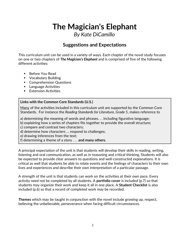## *By Kate DiCamillo*

### **Suggestions and Expectations**

This curriculum unit can be used in a variety of ways. Each chapter of the novel study focuses on one or two chapters of *The Magician's Elephant* and is comprised of five of the following different activities:

- Before You Read
- **•** Vocabulary Building
- **Comprehension Questions**
- **Language Activities**
- **Extension Activities**

### **Links with the Common Core Standards (U.S.)**

Many of the activities included in this curriculum unit are supported by the Common Core Standards. For instance the *Reading Standards for Literature, Grade 5*, makes reference to

a) determining the meaning of words and phrases. . . including figurative language;

b) explaining how a series of chapters fits together to provide the overall structure;

c) compare and contrast two characters;

d) determine how characters … respond to challenges;

e) drawing inferences from the text;

f) determining a theme of a story . . . **and many others.**

A principal expectation of the unit is that students will develop their skills in reading, writing, listening and oral communication, as well as in reasoning and critical thinking. Students will also be expected to provide clear answers to questions and well-constructed explanations. It is critical as well that students be able to relate events and the feelings of characters to their own lives and experiences and describe their own interpretation of a particular passage.

A strength of the unit is that students can work on the activities at their own pace. Every activity need not be completed by all students. A **portfolio cover** is included (p.7) so that students may organize their work and keep it all in one place. A **Student Checklist** is also included (p.6) so that a record of completed work may be recorded.

**Themes** which may be taught in conjunction with the novel include growing up, respect, believing the unbelievable, perseverance when facing difficult circumstances.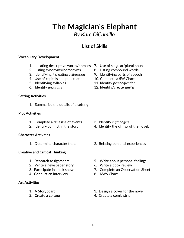## 4

## **The Magician's Elephant**

*By Kate DiCamillo*

### **List of Skills**

### **Vocabulary Development**

- 1. Locating descriptive words/phrases 7. Use of singular/plural nouns
- 2. Listing synonyms/homonyms 8. Listing compound words
- 3. Identifying / creating *alliteration* 9. Identifying parts of speech
- 4. Use of capitals and punctuation 10. Complete a 5W Chart
- 
- 

#### **Setting Activities**

1. Summarize the details of a setting

#### **Plot Activities**

- 1. Complete a *time line* of events 3. Identify *cliffhangers*
- 

#### **Character Activities**

### **Creative and Critical Thinking**

- 
- 2. Write a newspaper story 6. Write a book review
- 
- 4. Conduct an interview 8. KWS Chart

### **Art Activities**

- 
- 
- 
- 
- 
- 
- 5. Identifying syllables 11. Identify *personification*
- 6. Identify *anagrams* 12. Identify/create *similes*

- 
- 2. Identify conflict in the story 4. Identify the climax of the novel.
- 1. Determine character traits 2. Relating personal experiences
- 1. Research assignments 5. Write about personal feelings
	-
- 3. Participate in a talk show 7. Complete an Observation Sheet
	-
- 1. A Storyboard 3. Design a cover for the novel
- 2. Create a collage 4. Create a comic strip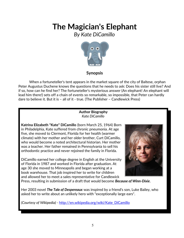*By Kate DiCamillo*



### **Synopsis**

When a fortuneteller's tent appears in the market square of the city of Baltese, orphan Peter Augustus Duchene knows the questions that he needs to ask: Does his sister still live? And if so, how can he find her? The fortuneteller's mysterious answer (An elephant! An elephant will lead him there!) sets off a chain of events so remarkable, so impossible, that Peter can hardly dare to believe it. But it is – all of it - true. (The Publisher – Candlewick Press)

#### **Author Biography** *Kate DiCamillo*

**Katrina Elizabeth "Kate" DiCamillo** (born March 25, 1964) Born in Philadelphia, Kate suffered from chronic pneumonia. At age five, she moved to Clermont, Florida for her health (warmer climate) with her mother and her older brother, Curt DiCamillo, who would become a noted architectural historian. Her mother was a teacher. Her father remained in Pennsylvania to sell his orthodontic practice and never rejoined the family in Florida.

DiCamillo earned her college degree in English at the University of Florida in 1987 and worked in Florida after graduation. At age 30 she moved to Minneapolis and began working at a book warehouse. That job inspired her to write for children and allowed her to meet a sales representative for Candlewick



Press, resulting in submission of a draft that would become *Because of Winn-Dixie*.

Her 2003 novel *The Tale of Despereaux* was inspired by a friend's son, Luke Bailey, who asked her to write about an unlikely hero with "exceptionally large ears".

*(Courtesy of Wikipedia) -* [http://en.wikipedia.org/wiki/Kate\\_DiCamillo](http://en.wikipedia.org/wiki/Kate_DiCamillo)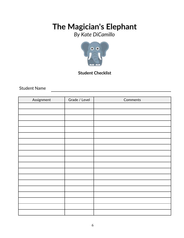*By Kate DiCamillo*



### **Student Checklist**

Student Name

| Assignment | Grade / Level | Comments |
|------------|---------------|----------|
|            |               |          |
|            |               |          |
|            |               |          |
|            |               |          |
|            |               |          |
|            |               |          |
|            |               |          |
|            |               |          |
|            |               |          |
|            |               |          |
|            |               |          |
|            |               |          |
|            |               |          |
|            |               |          |
|            |               |          |
|            |               |          |
|            |               |          |
|            |               |          |
|            |               |          |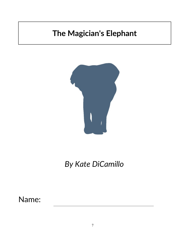

*By Kate DiCamillo*

Name: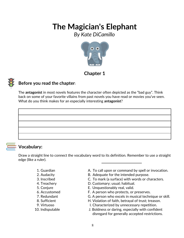*By Kate DiCamillo*



### **Chapter 1**

### **Before you read the chapter**:

The **antagonist** in most novels features the character often depicted as the "bad guy". Think back on some of your favorite villains from past novels you have read or movies you've seen. What do you think makes for an especially interesting **antagonist**?



### **Vocabulary:**

Draw a straight line to connect the vocabulary word to its definition. Remember to use a straight edge (like a ruler).

- 
- 
- 
- 
- 
- 
- 
- 
- 
- 
- 1. Guardian The Collection Command by spell or invocation.
- 2. Audacity B. Adequate for the intended purpose.
- 3. Inscribed C. To mark (a surface) with words or characters.
- 4. Treachery D. Customary; usual; habitual.
- 5. Conjure E. Unquestionably real, valid.
- 6. Accustomed F. A person who protects, or preserves.
- 7. Redundant G. A person who excels in musical technique or skill.
- 8. Sufficient **H. Violation of faith, betrayal of trust**; treason.
- 9. Virtuoso **I.** Characterized by unnecessary repetition.
- 10. Indisputable J. Boldness or daring, especially with confident disregard for generally accepted restrictions.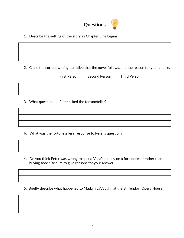

1. Describe the **setting** of the story as Chapter One begins.

2. Circle the correct writing narrative that the novel follows, and the reason for your choice.

|                                                     | <b>First Person</b> | Second Person | <b>Third Person</b> |  |  |
|-----------------------------------------------------|---------------------|---------------|---------------------|--|--|
|                                                     |                     |               |                     |  |  |
| 3. What question did Peter asked the fortuneteller? |                     |               |                     |  |  |
|                                                     |                     |               |                     |  |  |

b. What was the fortuneteller's response to Peter's question?

4. Do you think Peter was wrong to spend Vilna's money on a fortuneteller rather than buying food? Be sure to give reasons for your answer.

5. Briefly describe what happened to Madam LaVaughn at the Bliffendorf Opera House.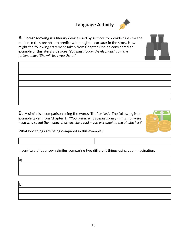## **Language Activity**



**A**. **Foreshadowing** is a literary device used by authors to provide clues for the reader so they are able to predict what might occur *later* in the story. How might the following statement taken from Chapter One be considered an example of this literary device? *"You must follow the elephant," said the fortuneteller. "She will lead you there."*

**B.** A **simile** is a comparison using the words "like" or "as". The following is an example taken from Chapter 1: *""You, Peter, who spends money that is not yours - you who spend the money of others like a fool – you will speak to me of who lies?"*



What two things are being compared in this example?

Invent two of your own **similes** comparing two different things using your imagination:

a) b)